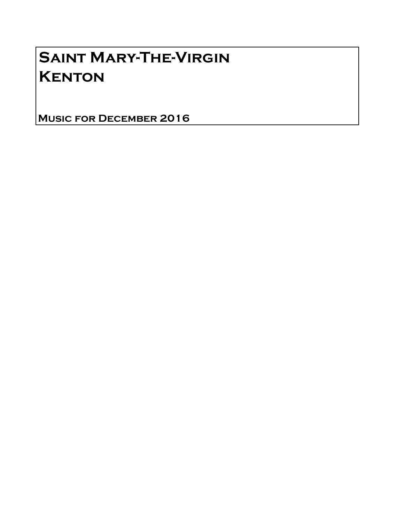## Saint Mary-The-Virgin **KENTON**

Music for December 2016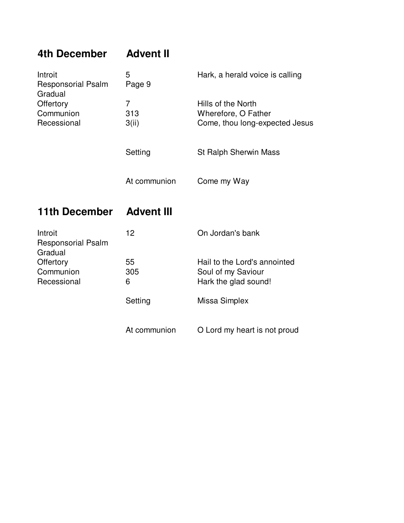| 4th December                                    | <b>Advent II</b>  |                                                       |
|-------------------------------------------------|-------------------|-------------------------------------------------------|
| Introit<br><b>Responsorial Psalm</b><br>Gradual | 5<br>Page 9       | Hark, a herald voice is calling                       |
| Offertory                                       | $\overline{7}$    | Hills of the North                                    |
| Communion<br>Recessional                        | 313<br>3(ii)      | Wherefore, O Father<br>Come, thou long-expected Jesus |
|                                                 | Setting           | <b>St Ralph Sherwin Mass</b>                          |
|                                                 | At communion      | Come my Way                                           |
|                                                 |                   |                                                       |
| <b>11th December</b>                            | <b>Advent III</b> |                                                       |
| Introit<br><b>Responsorial Psalm</b>            | 12                | On Jordan's bank                                      |
| Gradual<br>Offertory                            | 55                | Hail to the Lord's annointed                          |
| Communion<br>Recessional                        | 305<br>6          | Soul of my Saviour<br>Hark the glad sound!            |
|                                                 | Setting           | Missa Simplex                                         |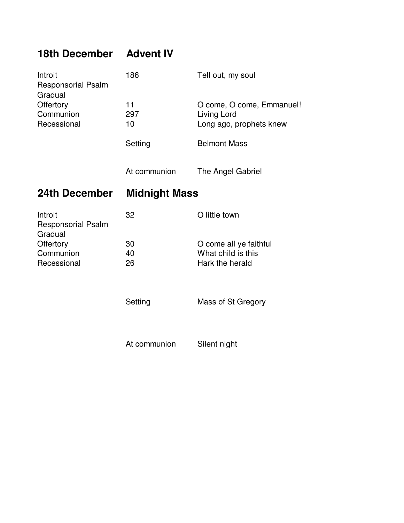## **18th December Advent IV**

| Introit<br><b>Responsorial Psalm</b><br>Gradual  | 186                  | Tell out, my soul                                                   |  |
|--------------------------------------------------|----------------------|---------------------------------------------------------------------|--|
| Offertory<br>Communion<br>Recessional            | 11<br>297<br>10      | O come, O come, Emmanuel!<br>Living Lord<br>Long ago, prophets knew |  |
|                                                  | Setting              | <b>Belmont Mass</b>                                                 |  |
|                                                  | At communion         | The Angel Gabriel                                                   |  |
| 24th December                                    | <b>Midnight Mass</b> |                                                                     |  |
|                                                  |                      |                                                                     |  |
| Introit<br><b>Responsorial Psalm</b>             | 32                   | O little town                                                       |  |
| Gradual<br>Offertory<br>Communion<br>Recessional | 30<br>40<br>26       | O come all ye faithful<br>What child is this<br>Hark the herald     |  |

At communion Silent night